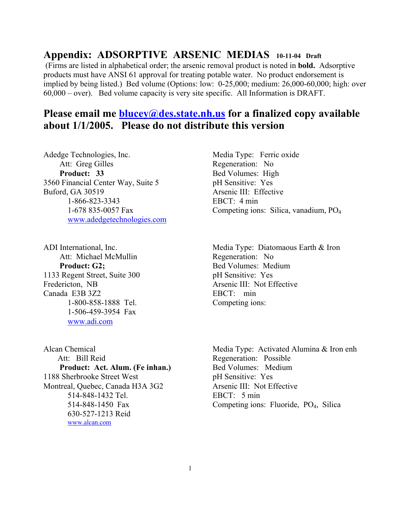## **Appendix: ADSORPTIVE ARSENIC MEDIAS 10-11-04 Draft**

 (Firms are listed in alphabetical order; the arsenic removal product is noted in **bold.** Adsorptive products must have ANSI 61 approval for treating potable water. No product endorsement is implied by being listed.) Bed volume (Options: low: 0-25,000; medium: 26,000-60,000; high: over 60,000 – over). Bed volume capacity is very site specific. All Information is DRAFT.

## **Please email me [blucey@des.state.nh.us](mailto:blucey@des.state.nh.us) for a finalized copy available about 1/1/2005. Please do not distribute this version**

Adedge Technologies, Inc. Media Type: Ferric oxide Att: Greg Gilles Regeneration: No **Product: 33** Bed Volumes: High 3560 Financial Center Way, Suite 5 pH Sensitive: Yes Buford, GA 30519 Arsenic III: Effective 1-866-823-3343 EBCT: 4 min [www.adedgetechnologies.com](http://www.adedgetechnologies.com/)

Att: Michael McMullin Regeneration: No **Product: G2;** Bed Volumes: Medium 1133 Regent Street, Suite 300 pH Sensitive: Yes Fredericton, NB Arsenic III: Not Effective Canada E3B 3Z2 EBCT: min 1-800-858-1888 Tel. Competing ions: 1-506-459-3954 Fax [www.adi.com](http://www.adi.com/)

Att: Bill Reid Regeneration: Possible **Product: Act. Alum. (Fe inhan.)** Bed Volumes: Medium 1188 Sherbrooke Street West pH Sensitive: Yes Montreal, Quebec, Canada H3A 3G2 Arsenic III: Not Effective 514-848-1432 Tel. EBCT: 5 min 630-527-1213 Reid [www.alcan.com](http://www.alcan.com/) 

1-678 835-0057 Fax Competing ions: Silica, vanadium, PO4

ADI International, Inc. The Media Type: Diatomaous Earth & Iron

Alcan Chemical Media Type: Activated Alumina & Iron enh 514-848-1450 Fax Competing ions: Fluoride, PO4, Silica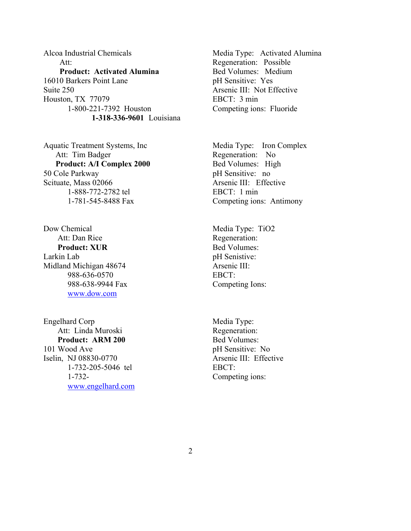Alcoa Industrial Chemicals Media Type: Activated Alumina Att: Regeneration: Possible **Product: Activated Alumina** Bed Volumes: Medium 16010 Barkers Point Lane pH Sensitive: Yes Suite 250 Arsenic III: Not Effective Houston, TX 77079 EBCT: 3 min 1-800-221-7392 Houston Competing ions: Fluoride **1-318-336-9601** Louisiana

Aquatic Treatment Systems, Inc Media Type: Iron Complex Att: Tim Badger **Regeneration:** No **Product: A/I Complex 2000** Bed Volumes: High 50 Cole Parkway pH Sensitive: no Scituate, Mass 02066 Arsenic III: Effective 1-888-772-2782 tel EBCT: 1 min

Dow Chemical Media Type: TiO2 Att: Dan Rice Regeneration: **Product: XUR** Bed Volumes: Larkin Lab pH Senistive: Midland Michigan 48674 Arsenic III: 988-636-0570 EBCT: 988-638-9944 Fax Competing Ions: [www.dow.com](http://www.dow.com/)

Engelhard Corp Media Type: Att: Linda Muroski Regeneration: **Product: ARM 200 Bed Volumes:** 101 Wood Ave pH Sensitive: No Iselin, NJ 08830-0770 Arsenic III: Effective 1-732-205-5046 tel EBCT: 1-732- Competing ions: [www.engelhard.com](http://www.engelhard.com/) 

1-781-545-8488 Fax Competing ions: Antimony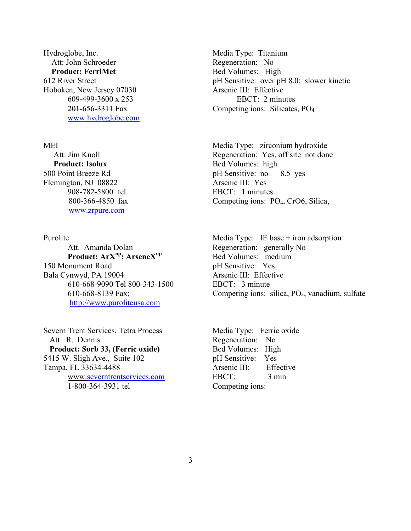Hydroglobe, Inc. **Media Type: Titanium** Att: John Schroeder Regeneration: No **Product: FerriMet** Bed Volumes: High Hoboken, New Jersey 07030 Arsenic III: Effective [www.hydroglobe.com](http://www.hydroglobe.com/)

**Product: Isolux** Bed Volumes: high Flemington, NJ 08822 Arsenic III: Yes [www.zrpure.com](http://www.zrpure.com/) 

Att. Amanda Dolan Regeneration: generally No **Product: ArX<sup>np</sup>; ArseneX<sup>np</sup> Bed Volumes: medium** 150 Monument Road pH Sensitive: Yes Bala Cynwyd, PA 19004 Arsenic III: Effective 610-668-9090 Tel 800-343-1500 EBCT: 3 minute [http://www.puroliteusa.com](http://www.puroliteusa.com/)

Severn Trent Services, Tetra Process Media Type: Ferric oxide Att: R. Dennis Regeneration: No **Product: Sorb 33, (Ferric oxide)** Bed Volumes: High 5415 W. Sligh Ave., Suite 102 pH Sensitive: Yes Tampa, FL 33634-4488 Arsenic III: Effective www.[severntrentservices.com](http://www.severntreantservices.com/) EBCT: 3 min 1-800-364-3931 tel Competing ions:

612 River Street pH Sensitive: over pH 8.0; slower kinetic 609-499-3600 x 253 EBCT: 2 minutes 201-656-3311 Fax Competing ions: Silicates, PO4

MEI Media Type: zirconium hydroxide Att: Jim Knoll Regeneration: Yes, off site not done 500 Point Breeze Rd pH Sensitive: no 8.5 yes 908-782-5800 tel EBCT: 1 minutes 800-366-4850 fax Competing ions: PO4, CrO6, Silica,

Purolite Media Type: IE base + iron adsorption 610-668-8139 Fax; Competing ions: silica, PO4, vanadium, sulfate